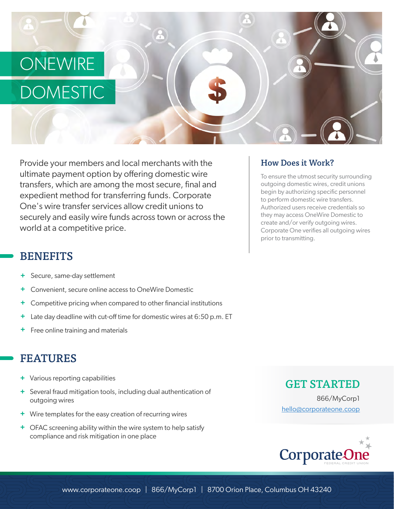## **ONEWIRE**

# DOMESTIC

Provide your members and local merchants with the ultimate payment option by offering domestic wire transfers, which are among the most secure, final and expedient method for transferring funds. Corporate One's wire transfer services allow credit unions to securely and easily wire funds across town or across the world at a competitive price.

### BENEFITS

- **+** Secure, same-day settlement
- **+** Convenient, secure online access to OneWire Domestic
- **+** Competitive pricing when compared to other financial institutions
- **+** Late day deadline with cut-off time for domestic wires at 6:50 p.m. ET
- **+** Free online training and materials

### FEATURES

- Various reporting capabilities **+**
- Several fraud mitigation tools, including dual authentication of **+** outgoing wires
- Wire templates for the easy creation of recurring wires **+**
- OFAC screening ability within the wire system to help satisfy **+**compliance and risk mitigation in one place

#### How Does it Work?

To ensure the utmost security surrounding outgoing domestic wires, credit unions begin by authorizing specific personnel to perform domestic wire transfers. Authorized users receive credentials so they may access OneWire Domestic to create and/or verify outgoing wires. Corporate One verifies all outgoing wires prior to transmitting.

#### GET STARTED

866/MyCorp1 hello@corporateone.coop